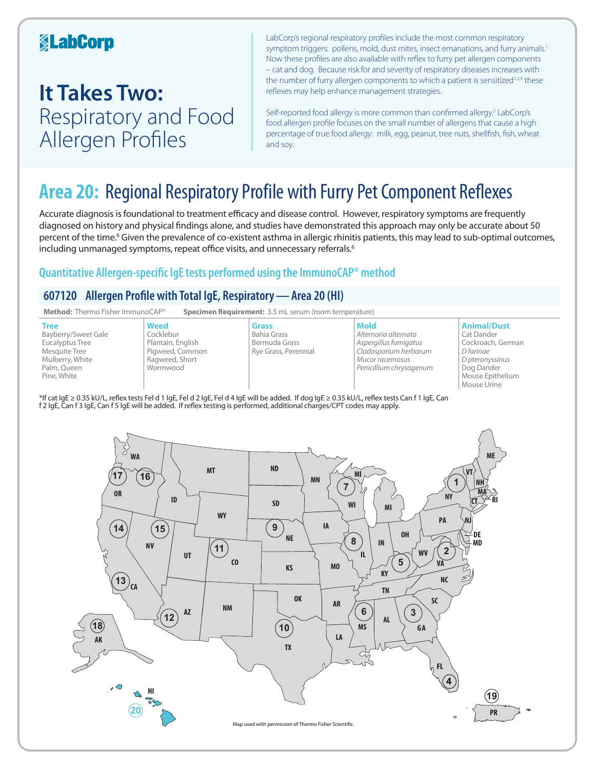### **KabCorp**

# **It Takes Two:**  Respiratory and Food Allergen Profiles

LabCorp's regional respiratory profiles include the most common respiratory symptom triggers: pollens, mold, dust mites, insect emanations, and furry animals.<sup>1</sup> Now these profiles are also available with reflex to furry pet allergen components – cat and dog. Because risk for and severity of respiratory diseases increases with the number of furry allergen components to which a patient is sensitized<sup>2,3,4</sup> these reflexes may help enhance management strategies.

Self-reported food allergy is more common than confirmed allergy.<sup>5</sup> LabCorp's food allergen profile focuses on the small number of allergens that cause a high percentage of true food allergy: milk, egg, peanut, tree nuts, shellfish, fish, wheat and soy.

## **Area 20:** Regional Respiratory Profile with Furry Pet Component Reflexes

Accurate diagnosis is foundational to treatment efficacy and disease control. However, respiratory symptoms are frequently diagnosed on history and physical findings alone, and studies have demonstrated this approach may only be accurate about 50 percent of the time.<sup>6</sup> Given the prevalence of co-existent asthma in allergic rhinitis patients, this may lead to sub-optimal outcomes, including unmanaged symptoms, repeat office visits, and unnecessary referrals.<sup>6</sup>

### **Quantitative Allergen-specific IgE tests performed using the ImmunoCAP® method**

### **607120 Allergen Profile with Total IgE, Respiratory—Area 20 (HI)**



\*If cat IgE ≥ 0.35 kU/L, reflex tests Fel d 1 IgE, Fel d 2 IgE, Fel d 4 IgE will be added. If dog IgE ≥ 0.35 kU/L, reflex tests Can f 1 IgE, Can f 2 IgE, Can f 3 IgE, Can f 5 IgE will be added. If reflex testing is performed, additional charges/CPT codes may apply.